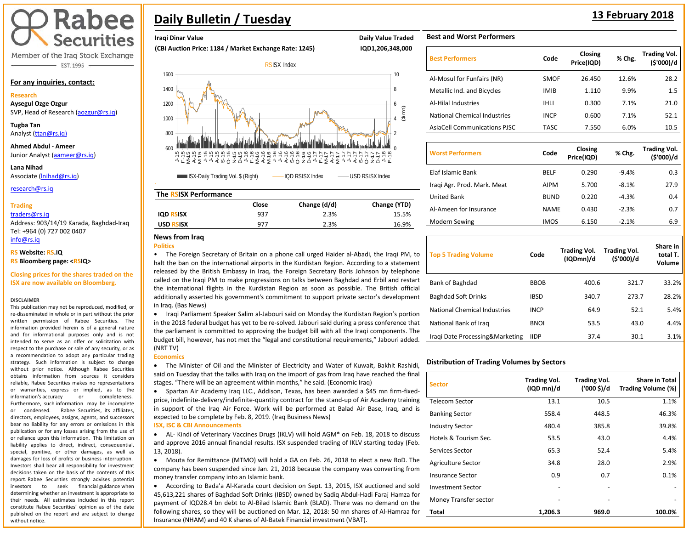# Rabee **Securities**

Member of the Iraq Stock Exchange - EST. 1995

### **For any inquiries, contact:**

**Research**

**Aysegul Ozge Ozgur**  SVP, Head of Research [\(aozgur@rs.iq\)](mailto:aozgur@rs.iq)

**Tugba Tan** Analyst [\(ttan@rs.iq\)](mailto:ttan@rs.iq)

**Ahmed Abdul - Ameer**  Junior Analyst [\(aameer@rs.iq\)](mailto:aameer@rs.iq)

**Lana Nihad** Associate (lnihad@rs.iq)

research@rs.iq

### **Trading**

### traders@rs.iq

Address: 903/14/19 Karada, Baghdad-Iraq Tel: +964 (0) 727 002 0407 info@rs.iq

### **RS Website: RS.IQ**

**RS Bloomberg page: <RSIQ>**

**Closing prices for the shares traded on the ISX are now available on Bloomberg.**

### **DISCLAIMER**

This publication may not be reproduced, modified, or re-disseminated in whole or in part without the prior written permission of Rabee Securities. The information provided herein is of a general nature and for informational purposes only and is not intended to serve as an offer or solicitation with respect to the purchase or sale of any security, or as a recommendation to adopt any particular trading strategy. Such information is subject to change without prior notice. Although Rabee Securities obtains information from sources it considers reliable, Rabee Securities makes no representations or warranties, express or implied, as to the information's accuracy or completeness. Furthermore, such information may be incomplete or condensed. Rabee Securities, its affiliates, directors, employees, assigns, agents, and successors bear no liability for any errors or omissions in this publication or for any losses arising from the use of or reliance upon this information. This limitation on liability applies to direct, indirect, consequential, special, punitive, or other damages, as well as damages for loss of profits or business interruption. Investors shall bear all responsibility for investment decisions taken on the basis of the contents of this report. Rabee Securities strongly advises potential investors to seek financial guidance when determining whether an investment is appropriate to their needs. All estimates included in this report constitute Rabee Securities' opinion as of the date published on the report and are subject to change without notice.

# **Daily Bulletin / Tuesday <sup>13</sup> February 2018**

# **Iraqi Dinar Value Daily Value Traded Accord Participate Accord Participate Accord Participate Accord Participate Accord Participate Accord Participate Accord Participate Accord Participate Accord Participate Accord Partic**

**(CBI Auction Price: 1184 / Market Exchange Rate: 1245) IQD1,206,348,000** 



# **The RSISX Performance**

|                  | Close | Change (d/d) | Change (YTD) |
|------------------|-------|--------------|--------------|
| <b>IQD RSISX</b> | 937   | 2.3%         | 15.5%        |
| <b>USD RSISX</b> | 977   | 2.3%         | 16.9%        |

## **News from Iraq**

**Politics** 

• The Foreign Secretary of Britain on a phone call urged Haider al-Abadi, the Iraqi PM, to halt the ban on the international airports in the Kurdistan Region. According to a statement released by the British Embassy in Iraq, the Foreign Secretary Boris Johnson by telephone called on the Iraqi PM to make progressions on talks between Baghdad and Erbil and restart the international flights in the Kurdistan Region as soon as possible. The British official additionally asserted his government's commitment to support private sector's development in Iraq. (Bas News)

• Iraqi Parliament Speaker Salim al-Jabouri said on Monday the Kurdistan Region's portion in the 2018 federal budget has yet to be re-solved. Jabouri said during a press conference that the parliament is committed to approving the budget bill with all the Iraqi components. The budget bill, however, has not met the "legal and constitutional requirements," Jabouri added. (NRT TV)

### **Economics**

• The Minister of Oil and the Minister of Electricity and Water of Kuwait, Bakhit Rashidi, said on Tuesday that the talks with Iraq on the import of gas from Iraq have reached the final stages. "There will be an agreement within months," he said. (Economic Iraq)

• Spartan Air Academy Iraq LLC., Addison, Texas, has been awarded a \$45 mn firm-fixedprice, indefinite-delivery/indefinite-quantity contract for the stand-up of Air Academy training in support of the Iraq Air Force. Work will be performed at Balad Air Base, Iraq, and is expected to be complete by Feb. 8, 2019. (Iraq Business News)

### **ISX, ISC & CBI Announcements**

• AL- Kindi of Veterinary Vaccines Drugs (IKLV) will hold AGM\* on Feb. 18, 2018 to discuss and approve 2016 annual financial results. ISX suspended trading of IKLV starting today (Feb. 13, 2018).

• Mouta for Remittance (MTMO) will hold a GA on Feb. 26, 2018 to elect a new BoD. The company has been suspended since Jan. 21, 2018 because the company was converting from money transfer company into an Islamic bank.

• According to Bada'a Al-Karada court decision on Sept. 13, 2015, ISX auctioned and sold 45,613,221 shares of Baghdad Soft Drinks (IBSD) owned by Sadiq Abdul-Hadi Faraj Hamza for payment of IQD28.4 bn debt to Al-Bilad Islamic Bank (BLAD). There was no demand on the following shares, so they will be auctioned on Mar. 12, 2018: 50 mn shares of Al-Hamraa for Insurance (NHAM) and 40 K shares of Al-Batek Financial investment (VBAT).

# **Best and Worst Performers**

| <b>Best Performers</b>              | Code        | Closing<br>Price(IQD) | % Chg.  | <b>Trading Vol.</b><br>(\$'000)/d |
|-------------------------------------|-------------|-----------------------|---------|-----------------------------------|
| Al-Mosul for Funfairs (NR)          | <b>SMOF</b> | 26.450                | 12.6%   | 28.2                              |
| Metallic Ind. and Bicycles          | <b>IMIB</b> | 1.110                 | 9.9%    | $1.5\,$                           |
| Al-Hilal Industries                 | <b>IHLI</b> | 0.300                 | 7.1%    | 21.0                              |
| <b>National Chemical Industries</b> | <b>INCP</b> | 0.600                 | 7.1%    | 52.1                              |
| <b>AsiaCell Communications PJSC</b> | <b>TASC</b> | 7.550                 | 6.0%    | 10.5                              |
|                                     |             |                       |         |                                   |
| <b>Worst Performers</b>             | Code        | Closing<br>Price(IQD) | % Chg.  | <b>Trading Vol.</b><br>(\$'000)/d |
| Elaf Islamic Bank                   | <b>BELF</b> | 0.290                 | $-9.4%$ | 0.3                               |
| Iragi Agr. Prod. Mark. Meat         | <b>AIPM</b> | 5.700                 | $-8.1%$ | 27.9                              |
| <b>United Bank</b>                  | <b>BUND</b> | 0.220                 | $-4.3%$ | 0.4                               |
| Al-Ameen for Insurance              | <b>NAME</b> | 0.430                 | $-2.3%$ | 0.7                               |
| Modern Sewing                       | <b>IMOS</b> | 6.150                 | $-2.1%$ | 6.9                               |

| <b>Top 5 Trading Volume</b>     | Code        | <b>Trading Vol.</b><br>(IQDmn)/d | <b>Trading Vol.</b><br>(\$'000)/d | Share in<br>total T.<br>Volume |
|---------------------------------|-------------|----------------------------------|-----------------------------------|--------------------------------|
| Bank of Baghdad                 | <b>BBOB</b> | 400.6                            | 321.7                             | 33.2%                          |
| <b>Baghdad Soft Drinks</b>      | <b>IBSD</b> | 340.7                            | 273.7                             | 28.2%                          |
| National Chemical Industries    | <b>INCP</b> | 64.9                             | 52.1                              | 5.4%                           |
| National Bank of Iraq           | <b>BNOI</b> | 53.5                             | 43.0                              | 4.4%                           |
| Iragi Date Processing&Marketing | <b>IIDP</b> | 37.4                             | 30.1                              | 3.1%                           |

## **Distribution of Trading Volumes by Sectors**

| <b>Sector</b>            | <b>Trading Vol.</b><br>(IQD mn)/d | <b>Trading Vol.</b><br>('000 \$)/d | <b>Share in Total</b><br>Trading Volume (%) |
|--------------------------|-----------------------------------|------------------------------------|---------------------------------------------|
| <b>Telecom Sector</b>    | 13.1                              | 10.5                               | 1.1%                                        |
| <b>Banking Sector</b>    | 558.4                             | 448.5                              | 46.3%                                       |
| <b>Industry Sector</b>   | 480.4                             | 385.8                              | 39.8%                                       |
| Hotels & Tourism Sec.    | 53.5                              | 43.0                               | 4.4%                                        |
| Services Sector          | 65.3                              | 52.4                               | 5.4%                                        |
| Agriculture Sector       | 34.8                              | 28.0                               | 2.9%                                        |
| Insurance Sector         | 0.9                               | 0.7                                | 0.1%                                        |
| <b>Investment Sector</b> |                                   |                                    |                                             |
| Money Transfer sector    |                                   |                                    |                                             |
| Total                    | 1,206.3                           | 969.0                              | 100.0%                                      |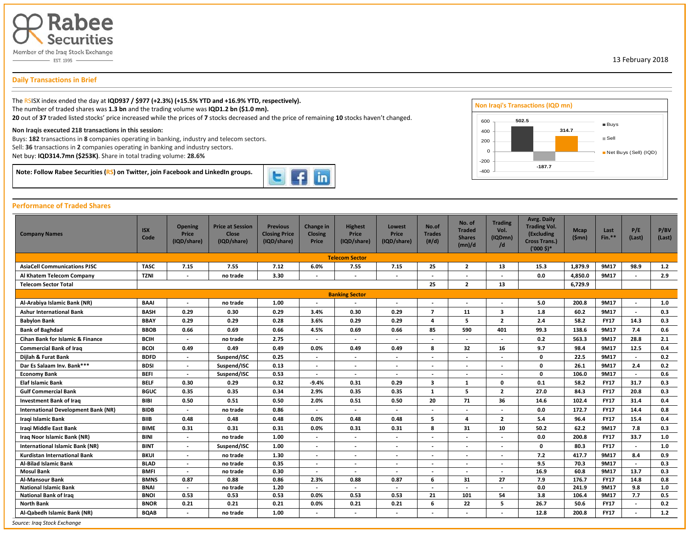

**Daily Transactions in Brief**

 $\overline{a}$ 

The RSISX index ended the day at **IQD937 / \$977 (+2.3%) (+15.5% YTD and +16.9% YTD, respectively).** The number of traded shares was **1.3 bn** and the trading volume was **IQD1.2 bn (\$1.0 mn). 20** out of **37** traded listed stocks' price increased while the prices of **7** stocks decreased and the price of remaining **10** stocks haven't changed.

### **Non Iraqis executed 218 transactions in this session:**

Buys: **182** transactions in **8** companies operating in banking, industry and telecom sectors.

Sell: **36** transactions in **2** companies operating in banking and industry sectors.

Net buy: **IQD314.7mn (\$253K)**. Share in total trading volume: **28.6%**

**Note: Follow Rabee Securities (RS) on Twitter, join Facebook and LinkedIn groups.** 



# **Performance of Traded Shares**

| <b>Company Names</b>                | <b>ISX</b><br>Code | <b>Opening</b><br>Price<br>(IQD/share)                                                                                                                                                                                                                                                                                                                                                                                                                                                                                                                                                                                                                                                                                                                                                                                                                                                                                                                                                                                                                                                                                                                                               | <b>Price at Session</b><br><b>Close</b><br>(IQD/share) | <b>Previous</b><br><b>Closing Price</b><br>(IQD/share) | Change in<br><b>Closing</b><br>Price | <b>Highest</b><br>Price<br>(IQD/share) | Lowest<br>Price<br>(IQD/share) | No.of<br><b>Trades</b><br>$(\#/d)$ | No. of<br><b>Traded</b><br><b>Shares</b><br>(mn)/d | <b>Trading</b><br>Vol.<br>(IQDmn)<br>/d | <b>Avrg. Daily</b><br><b>Trading Vol.</b><br>(Excluding<br><b>Cross Trans.)</b><br>$(10005)*$ | <b>Mcap</b><br>(Smn) | Last<br>$Fin.**$ | P/E<br>(Last)            | P/BV<br>(Last) |
|-------------------------------------|--------------------|--------------------------------------------------------------------------------------------------------------------------------------------------------------------------------------------------------------------------------------------------------------------------------------------------------------------------------------------------------------------------------------------------------------------------------------------------------------------------------------------------------------------------------------------------------------------------------------------------------------------------------------------------------------------------------------------------------------------------------------------------------------------------------------------------------------------------------------------------------------------------------------------------------------------------------------------------------------------------------------------------------------------------------------------------------------------------------------------------------------------------------------------------------------------------------------|--------------------------------------------------------|--------------------------------------------------------|--------------------------------------|----------------------------------------|--------------------------------|------------------------------------|----------------------------------------------------|-----------------------------------------|-----------------------------------------------------------------------------------------------|----------------------|------------------|--------------------------|----------------|
|                                     |                    |                                                                                                                                                                                                                                                                                                                                                                                                                                                                                                                                                                                                                                                                                                                                                                                                                                                                                                                                                                                                                                                                                                                                                                                      |                                                        |                                                        |                                      |                                        |                                |                                    |                                                    |                                         |                                                                                               |                      |                  |                          |                |
| <b>AsiaCell Communications PJSC</b> | <b>TASC</b>        | 7.15                                                                                                                                                                                                                                                                                                                                                                                                                                                                                                                                                                                                                                                                                                                                                                                                                                                                                                                                                                                                                                                                                                                                                                                 | 7.55                                                   | 7.12                                                   | 6.0%                                 | 7.55                                   | 7.15                           | 25                                 | $\overline{2}$                                     | 13                                      | 15.3                                                                                          | 1,879.9              | 9M17             | 98.9                     | 1.2            |
| Al Khatem Telecom Company           | <b>TZNI</b>        | $\overline{\phantom{a}}$                                                                                                                                                                                                                                                                                                                                                                                                                                                                                                                                                                                                                                                                                                                                                                                                                                                                                                                                                                                                                                                                                                                                                             | no trade                                               | 3.30                                                   |                                      |                                        | $\overline{\phantom{0}}$       |                                    |                                                    |                                         | 0.0                                                                                           | 4,850.0              | 9M17             | $\overline{\phantom{a}}$ | 2.9            |
| <b>Telecom Sector Total</b>         |                    | <b>Telecom Sector</b><br><b>Banking Sector</b><br>no trade<br>1.00<br>$\overline{\phantom{a}}$<br>$\overline{\phantom{a}}$<br>0.29<br>0.30<br>0.29<br>3.4%<br>0.30<br>0.29<br>0.29<br>3.6%<br>0.29<br>0.29<br>0.28<br>0.29<br>0.66<br>0.69<br>0.66<br>4.5%<br>0.69<br>0.66<br>2.75<br>no trade<br>$\blacksquare$<br>$\overline{\phantom{a}}$<br>$\overline{\phantom{a}}$<br>0.49<br>0.49<br>0.49<br>0.0%<br>0.49<br>0.49<br>0.25<br>Suspend/ISC<br>$\blacksquare$<br>$\overline{a}$<br>$\overline{\phantom{a}}$<br>0.13<br>Suspend/ISC<br>$\overline{a}$<br>$\overline{\phantom{a}}$<br>$\overline{\phantom{a}}$<br>Suspend/ISC<br>0.53<br>$\overline{\phantom{a}}$<br>$\overline{\phantom{a}}$<br>$\overline{\phantom{a}}$<br>0.30<br>0.29<br>0.32<br>$-9.4%$<br>0.31<br>0.29<br>0.35<br>0.35<br>0.34<br>2.9%<br>0.35<br>0.35<br>0.50<br>0.51<br>0.50<br>2.0%<br>0.51<br>0.50<br>0.86<br>no trade<br>$\overline{\phantom{a}}$<br>$\overline{\phantom{a}}$<br>$\overline{\phantom{0}}$<br>0.48<br>0.48<br>0.48<br>0.0%<br>0.48<br>0.48<br>0.0%<br>0.31<br>0.31<br>0.31<br>0.31<br>0.31<br>1.00<br>no trade<br>$\blacksquare$<br>$\overline{\phantom{a}}$<br>$\overline{\phantom{0}}$ |                                                        |                                                        |                                      |                                        |                                |                                    | $\overline{2}$                                     | 13                                      |                                                                                               | 6,729.9              |                  |                          |                |
|                                     |                    |                                                                                                                                                                                                                                                                                                                                                                                                                                                                                                                                                                                                                                                                                                                                                                                                                                                                                                                                                                                                                                                                                                                                                                                      |                                                        |                                                        |                                      |                                        |                                |                                    |                                                    |                                         |                                                                                               |                      |                  |                          |                |
| Al-Arabiya Islamic Bank (NR)        | <b>BAAI</b>        |                                                                                                                                                                                                                                                                                                                                                                                                                                                                                                                                                                                                                                                                                                                                                                                                                                                                                                                                                                                                                                                                                                                                                                                      |                                                        |                                                        |                                      |                                        |                                |                                    |                                                    |                                         | 5.0                                                                                           | 200.8                | 9M17             |                          | 1.0            |
| <b>Ashur International Bank</b>     | <b>BASH</b>        |                                                                                                                                                                                                                                                                                                                                                                                                                                                                                                                                                                                                                                                                                                                                                                                                                                                                                                                                                                                                                                                                                                                                                                                      |                                                        |                                                        |                                      |                                        |                                | $\overline{7}$                     | 11                                                 | 3                                       | 1.8                                                                                           | 60.2                 | 9M17             |                          | 0.3            |
| <b>Babylon Bank</b>                 | <b>BBAY</b>        |                                                                                                                                                                                                                                                                                                                                                                                                                                                                                                                                                                                                                                                                                                                                                                                                                                                                                                                                                                                                                                                                                                                                                                                      |                                                        |                                                        |                                      |                                        |                                | $\overline{a}$                     | 5                                                  | $\overline{2}$                          | 2.4                                                                                           | 58.2                 | <b>FY17</b>      | 14.3                     | 0.3            |
| <b>Bank of Baghdad</b>              | <b>BBOB</b>        |                                                                                                                                                                                                                                                                                                                                                                                                                                                                                                                                                                                                                                                                                                                                                                                                                                                                                                                                                                                                                                                                                                                                                                                      |                                                        |                                                        |                                      |                                        |                                | 85                                 | 590                                                | 401                                     | 99.3                                                                                          | 138.6                | 9M17             | 7.4                      | 0.6            |
| Cihan Bank for Islamic & Finance    | <b>BCIH</b>        |                                                                                                                                                                                                                                                                                                                                                                                                                                                                                                                                                                                                                                                                                                                                                                                                                                                                                                                                                                                                                                                                                                                                                                                      |                                                        |                                                        |                                      |                                        |                                | $\overline{\phantom{a}}$           |                                                    |                                         | 0.2                                                                                           | 563.3                | 9M17             | 28.8                     | 2.1            |
| <b>Commercial Bank of Iraq</b>      | <b>BCOI</b>        |                                                                                                                                                                                                                                                                                                                                                                                                                                                                                                                                                                                                                                                                                                                                                                                                                                                                                                                                                                                                                                                                                                                                                                                      |                                                        |                                                        |                                      |                                        |                                | 8                                  | 32                                                 | 16                                      | 9.7                                                                                           | 98.4                 | 9M17             | 12.5                     | 0.4            |
| Dijlah & Furat Bank                 | <b>BDFD</b>        |                                                                                                                                                                                                                                                                                                                                                                                                                                                                                                                                                                                                                                                                                                                                                                                                                                                                                                                                                                                                                                                                                                                                                                                      |                                                        |                                                        |                                      |                                        |                                | $\overline{\phantom{a}}$           |                                                    |                                         | $\mathbf 0$                                                                                   | 22.5                 | 9M17             | $\overline{\phantom{a}}$ | 0.2            |
| Dar Es Salaam Inv. Bank***          | <b>BDSI</b>        |                                                                                                                                                                                                                                                                                                                                                                                                                                                                                                                                                                                                                                                                                                                                                                                                                                                                                                                                                                                                                                                                                                                                                                                      |                                                        |                                                        |                                      |                                        |                                |                                    |                                                    |                                         | 0                                                                                             | 26.1                 | 9M17             | 2.4                      | 0.2            |
| <b>Economy Bank</b>                 | <b>BEFI</b>        |                                                                                                                                                                                                                                                                                                                                                                                                                                                                                                                                                                                                                                                                                                                                                                                                                                                                                                                                                                                                                                                                                                                                                                                      |                                                        |                                                        |                                      |                                        |                                |                                    |                                                    |                                         | 0                                                                                             | 106.0                | 9M17             | $\overline{\phantom{a}}$ | 0.6            |
| Elaf Islamic Bank                   | <b>BELF</b>        |                                                                                                                                                                                                                                                                                                                                                                                                                                                                                                                                                                                                                                                                                                                                                                                                                                                                                                                                                                                                                                                                                                                                                                                      |                                                        |                                                        |                                      |                                        |                                | 3                                  | 1                                                  | 0                                       | 0.1                                                                                           | 58.2                 | <b>FY17</b>      | 31.7                     | 0.3            |
| <b>Gulf Commercial Bank</b>         | <b>BGUC</b>        |                                                                                                                                                                                                                                                                                                                                                                                                                                                                                                                                                                                                                                                                                                                                                                                                                                                                                                                                                                                                                                                                                                                                                                                      |                                                        |                                                        |                                      |                                        |                                | 1                                  | 5                                                  | $\overline{2}$                          | 27.0                                                                                          | 84.3                 | <b>FY17</b>      | 20.8                     | 0.3            |
| <b>Investment Bank of Iraq</b>      | <b>BIBI</b>        |                                                                                                                                                                                                                                                                                                                                                                                                                                                                                                                                                                                                                                                                                                                                                                                                                                                                                                                                                                                                                                                                                                                                                                                      |                                                        |                                                        |                                      |                                        |                                | 20                                 | 71                                                 | 36                                      | 14.6                                                                                          | 102.4                | <b>FY17</b>      | 31.4                     | 0.4            |
| International Development Bank (NR) | <b>BIDB</b>        |                                                                                                                                                                                                                                                                                                                                                                                                                                                                                                                                                                                                                                                                                                                                                                                                                                                                                                                                                                                                                                                                                                                                                                                      |                                                        |                                                        |                                      |                                        |                                | $\overline{\phantom{a}}$           |                                                    |                                         | 0.0                                                                                           | 172.7                | <b>FY17</b>      | 14.4                     | 0.8            |
| Iraqi Islamic Bank                  | <b>BIIB</b>        |                                                                                                                                                                                                                                                                                                                                                                                                                                                                                                                                                                                                                                                                                                                                                                                                                                                                                                                                                                                                                                                                                                                                                                                      |                                                        |                                                        |                                      |                                        |                                | 5                                  | 4                                                  | $\overline{2}$                          | 5.4                                                                                           | 96.4                 | <b>FY17</b>      | 15.4                     | 0.4            |
| Iragi Middle East Bank              | <b>BIME</b>        |                                                                                                                                                                                                                                                                                                                                                                                                                                                                                                                                                                                                                                                                                                                                                                                                                                                                                                                                                                                                                                                                                                                                                                                      |                                                        |                                                        |                                      |                                        |                                | 8                                  | 31                                                 | 10                                      | 50.2                                                                                          | 62.2                 | 9M17             | 7.8                      | 0.3            |
| Iraq Noor Islamic Bank (NR)         | <b>BINI</b>        |                                                                                                                                                                                                                                                                                                                                                                                                                                                                                                                                                                                                                                                                                                                                                                                                                                                                                                                                                                                                                                                                                                                                                                                      |                                                        |                                                        |                                      |                                        |                                |                                    |                                                    |                                         | 0.0                                                                                           | 200.8                | <b>FY17</b>      | 33.7                     | 1.0            |
| International Islamic Bank (NR)     | <b>BINT</b>        |                                                                                                                                                                                                                                                                                                                                                                                                                                                                                                                                                                                                                                                                                                                                                                                                                                                                                                                                                                                                                                                                                                                                                                                      | Suspend/ISC                                            | 1.00                                                   |                                      |                                        |                                |                                    |                                                    |                                         | $\mathbf 0$                                                                                   | 80.3                 | <b>FY17</b>      |                          | 1.0            |
| <b>Kurdistan International Bank</b> | <b>BKUI</b>        | $\overline{\phantom{a}}$                                                                                                                                                                                                                                                                                                                                                                                                                                                                                                                                                                                                                                                                                                                                                                                                                                                                                                                                                                                                                                                                                                                                                             | no trade                                               | 1.30                                                   |                                      | $\overline{\phantom{a}}$               | $\overline{\phantom{a}}$       | $\overline{\phantom{a}}$           |                                                    |                                         | 7.2                                                                                           | 417.7                | 9M17             | 8.4                      | 0.9            |
| Al-Bilad Islamic Bank               | <b>BLAD</b>        | $\overline{\phantom{a}}$                                                                                                                                                                                                                                                                                                                                                                                                                                                                                                                                                                                                                                                                                                                                                                                                                                                                                                                                                                                                                                                                                                                                                             | no trade                                               | 0.35                                                   |                                      | $\overline{\phantom{a}}$               | $\blacksquare$                 | $\overline{\phantom{a}}$           |                                                    |                                         | 9.5                                                                                           | 70.3                 | 9M17             | $\sim$                   | 0.3            |
| <b>Mosul Bank</b>                   | <b>BMFI</b>        | $\overline{\phantom{a}}$                                                                                                                                                                                                                                                                                                                                                                                                                                                                                                                                                                                                                                                                                                                                                                                                                                                                                                                                                                                                                                                                                                                                                             | no trade                                               | 0.30                                                   |                                      | $\overline{\phantom{a}}$               | $\overline{\phantom{a}}$       | $\overline{\phantom{a}}$           |                                                    |                                         | 16.9                                                                                          | 60.8                 | 9M17             | 13.7                     | 0.3            |
| <b>Al-Mansour Bank</b>              | <b>BMNS</b>        | 0.87                                                                                                                                                                                                                                                                                                                                                                                                                                                                                                                                                                                                                                                                                                                                                                                                                                                                                                                                                                                                                                                                                                                                                                                 | 0.88                                                   | 0.86                                                   | 2.3%                                 | 0.88                                   | 0.87                           | 6                                  | 31                                                 | 27                                      | 7.9                                                                                           | 176.7                | <b>FY17</b>      | 14.8                     | 0.8            |
| <b>National Islamic Bank</b>        | <b>BNAI</b>        | $\overline{a}$                                                                                                                                                                                                                                                                                                                                                                                                                                                                                                                                                                                                                                                                                                                                                                                                                                                                                                                                                                                                                                                                                                                                                                       | no trade                                               | 1.20                                                   |                                      | $\overline{\phantom{a}}$               | $\blacksquare$                 | $\overline{\phantom{a}}$           |                                                    |                                         | 0.0                                                                                           | 241.9                | 9M17             | 9.8                      | 1.0            |
| <b>National Bank of Iraq</b>        | <b>BNOI</b>        | 0.53                                                                                                                                                                                                                                                                                                                                                                                                                                                                                                                                                                                                                                                                                                                                                                                                                                                                                                                                                                                                                                                                                                                                                                                 | 0.53                                                   | 0.53                                                   | 0.0%                                 | 0.53                                   | 0.53                           | 21                                 | 101                                                | 54                                      | 3.8                                                                                           | 106.4                | 9M17             | 7.7                      | 0.5            |
| <b>North Bank</b>                   | <b>BNOR</b>        | 0.21                                                                                                                                                                                                                                                                                                                                                                                                                                                                                                                                                                                                                                                                                                                                                                                                                                                                                                                                                                                                                                                                                                                                                                                 | 0.21                                                   | 0.21                                                   | 0.0%                                 | 0.21                                   | 0.21                           | 6                                  | 22                                                 | 5                                       | 26.7                                                                                          | 50.6                 | <b>FY17</b>      | $\overline{\phantom{a}}$ | 0.2            |
| Al-Qabedh Islamic Bank (NR)         | <b>BQAB</b>        |                                                                                                                                                                                                                                                                                                                                                                                                                                                                                                                                                                                                                                                                                                                                                                                                                                                                                                                                                                                                                                                                                                                                                                                      | no trade                                               | 1.00                                                   |                                      | $\overline{\phantom{a}}$               |                                |                                    |                                                    |                                         | 12.8                                                                                          | 200.8                | <b>FY17</b>      |                          | $1.2$          |



13 February 2018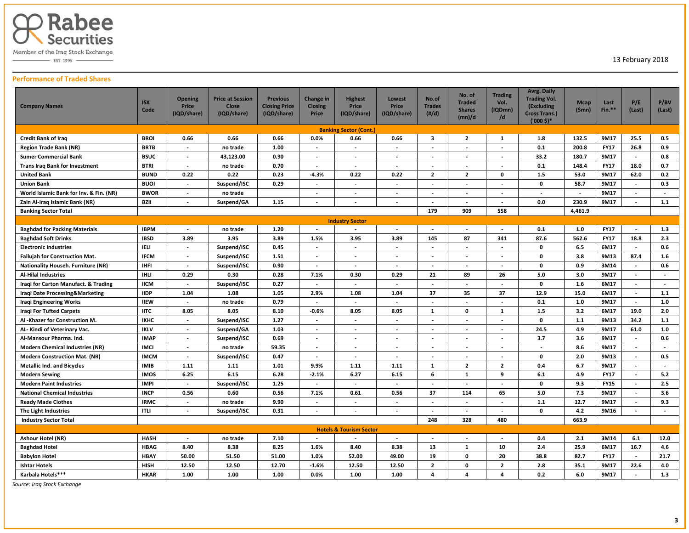

 $-$  EST. 1995  $-$ 

13 February 2018

# **Performance of Traded Shares**

| <b>Company Names</b>                      | <b>ISX</b><br>Code | <b>Opening</b><br>Price<br>(IQD/share) | <b>Price at Session</b><br><b>Close</b><br>(IQD/share) | <b>Previous</b><br><b>Closing Price</b><br>(IQD/share) | Change in<br><b>Closing</b><br>Price | <b>Highest</b><br>Price<br>(IQD/share) | <b>Lowest</b><br>Price<br>(IQD/share) | No.of<br><b>Trades</b><br>$(\#/d)$ | No. of<br><b>Traded</b><br><b>Shares</b><br>(mn)/d | <b>Trading</b><br>Vol.<br>(IQDmn)<br>/d | <b>Avrg. Daily</b><br><b>Trading Vol.</b><br>(Excluding<br><b>Cross Trans.)</b><br>$('000 $)$ * | <b>Mcap</b><br>(Smn) | Last<br>Fin.** | P/E<br>(Last)            | P/BV<br>(Last)           |
|-------------------------------------------|--------------------|----------------------------------------|--------------------------------------------------------|--------------------------------------------------------|--------------------------------------|----------------------------------------|---------------------------------------|------------------------------------|----------------------------------------------------|-----------------------------------------|-------------------------------------------------------------------------------------------------|----------------------|----------------|--------------------------|--------------------------|
|                                           |                    |                                        |                                                        |                                                        |                                      | <b>Banking Sector (Cont.)</b>          |                                       |                                    |                                                    |                                         |                                                                                                 |                      |                |                          |                          |
| <b>Credit Bank of Iraq</b>                | <b>BROI</b>        | 0.66                                   | 0.66                                                   | 0.66                                                   | 0.0%                                 | 0.66                                   | 0.66                                  | 3                                  | $\mathbf{2}$                                       | 1                                       | 1.8                                                                                             | 132.5                | 9M17           | 25.5                     | 0.5                      |
| <b>Region Trade Bank (NR)</b>             | <b>BRTB</b>        | $\overline{\phantom{a}}$               | no trade                                               | 1.00                                                   | $\overline{\phantom{a}}$             | $\overline{a}$                         | $\sim$                                | $\overline{a}$                     | $\overline{a}$                                     | $\sim$                                  | 0.1                                                                                             | 200.8                | <b>FY17</b>    | 26.8                     | 0.9                      |
| <b>Sumer Commercial Bank</b>              | <b>BSUC</b>        | $\overline{\phantom{a}}$               | 43,123.00                                              | 0.90                                                   | $\overline{\phantom{a}}$             | $\overline{\phantom{m}}$               | $\overline{\phantom{a}}$              | $\overline{\phantom{a}}$           | $\overline{\phantom{a}}$                           | $\blacksquare$                          | 33.2                                                                                            | 180.7                | 9M17           | $\overline{\phantom{a}}$ | 0.8                      |
| <b>Trans Irag Bank for Investment</b>     | <b>BTRI</b>        | $\overline{\phantom{a}}$               | no trade                                               | 0.70                                                   | $\overline{\phantom{a}}$             | $\overline{\phantom{a}}$               | $\overline{\phantom{a}}$              | $\overline{\phantom{a}}$           | $\blacksquare$                                     | $\overline{\phantom{a}}$                | 0.1                                                                                             | 148.4                | <b>FY17</b>    | 18.0                     | 0.7                      |
| <b>United Bank</b>                        | <b>BUND</b>        | 0.22                                   | 0.22                                                   | 0.23                                                   | $-4.3%$                              | 0.22                                   | 0.22                                  | $\overline{2}$                     | $\overline{2}$                                     | 0                                       | 1.5                                                                                             | 53.0                 | 9M17           | 62.0                     | 0.2                      |
| <b>Union Bank</b>                         | <b>BUOI</b>        | $\sim$                                 | Suspend/ISC                                            | 0.29                                                   | $\overline{\phantom{a}}$             | $\blacksquare$                         | $\overline{\phantom{a}}$              | $\overline{\phantom{a}}$           | $\blacksquare$                                     | $\blacksquare$                          | $\mathbf 0$                                                                                     | 58.7                 | 9M17           | $\overline{\phantom{a}}$ | 0.3                      |
| World Islamic Bank for Inv. & Fin. (NR)   | <b>BWOR</b>        |                                        | no trade                                               |                                                        |                                      | $\overline{\phantom{m}}$               | $\overline{\phantom{a}}$              | $\overline{\phantom{a}}$           | $\overline{\phantom{a}}$                           | $\blacksquare$                          | $\overline{\phantom{a}}$                                                                        |                      | 9M17           | $\overline{\phantom{a}}$ | $\overline{\phantom{a}}$ |
| Zain Al-Iraq Islamic Bank (NR)            | <b>BZII</b>        | $\overline{\phantom{a}}$               | Suspend/GA                                             | 1.15                                                   | $\overline{\phantom{a}}$             | $\overline{a}$                         | $\overline{\phantom{a}}$              | $\overline{\phantom{a}}$           | $\overline{\phantom{a}}$                           | $\overline{\phantom{a}}$                | 0.0                                                                                             | 230.9                | 9M17           | $\sim$                   | 1.1                      |
| <b>Banking Sector Total</b>               |                    |                                        |                                                        |                                                        |                                      |                                        |                                       | 179                                | 909                                                | 558                                     |                                                                                                 | 4,461.9              |                |                          |                          |
|                                           |                    |                                        |                                                        |                                                        |                                      | <b>Industry Sector</b>                 |                                       |                                    |                                                    |                                         |                                                                                                 |                      |                |                          |                          |
| <b>Baghdad for Packing Materials</b>      | <b>IBPM</b>        |                                        | no trade                                               | 1.20                                                   |                                      |                                        |                                       |                                    |                                                    |                                         | 0.1                                                                                             | 1.0                  | <b>FY17</b>    |                          | 1.3                      |
| <b>Baghdad Soft Drinks</b>                | <b>IBSD</b>        | 3.89                                   | 3.95                                                   | 3.89                                                   | 1.5%                                 | 3.95                                   | 3.89                                  | 145                                | 87                                                 | 341                                     | 87.6                                                                                            | 562.6                | <b>FY17</b>    | 18.8                     | 2.3                      |
| <b>Electronic Industries</b>              | <b>IELI</b>        | $\overline{\phantom{a}}$               | Suspend/ISC                                            | 0.45                                                   | $\overline{\phantom{a}}$             | $\blacksquare$                         | $\overline{\phantom{a}}$              | $\overline{\phantom{a}}$           | $\blacksquare$                                     | $\blacksquare$                          | $\mathbf 0$                                                                                     | 6.5                  | 6M17           | $\overline{\phantom{a}}$ | 0.6                      |
| <b>Fallujah for Construction Mat.</b>     | <b>IFCM</b>        | $\overline{\phantom{a}}$               | Suspend/ISC                                            | 1.51                                                   | $\overline{\phantom{a}}$             | $\overline{\phantom{a}}$               | $\sim$                                | $\overline{\phantom{a}}$           | $\overline{\phantom{a}}$                           | $\blacksquare$                          | $\mathbf 0$                                                                                     | 3.8                  | 9M13           | 87.4                     | 1.6                      |
| <b>Nationality Househ. Furniture (NR)</b> | <b>IHFI</b>        |                                        | Suspend/ISC                                            | 0.90                                                   | $\overline{\phantom{a}}$             | $\overline{\phantom{a}}$               | $\overline{\phantom{a}}$              | $\overline{\phantom{a}}$           | $\overline{a}$                                     | $\overline{a}$                          | $\mathbf{0}$                                                                                    | 0.9                  | 3M14           | $\overline{a}$           | 0.6                      |
| <b>Al-Hilal Industries</b>                | <b>IHLI</b>        | 0.29                                   | 0.30                                                   | 0.28                                                   | 7.1%                                 | 0.30                                   | 0.29                                  | 21                                 | 89                                                 | 26                                      | 5.0                                                                                             | 3.0                  | 9M17           | $\overline{a}$           | $\overline{\phantom{a}}$ |
| Iraqi for Carton Manufact. & Trading      | <b>IICM</b>        | $\sim$                                 | Suspend/ISC                                            | 0.27                                                   | $\blacksquare$                       | $\overline{\phantom{a}}$               | $\overline{\phantom{a}}$              | $\overline{\phantom{a}}$           | $\blacksquare$                                     | $\blacksquare$                          | $\mathbf 0$                                                                                     | 1.6                  | 6M17           | $\overline{\phantom{a}}$ | $\overline{\phantom{a}}$ |
| Iraqi Date Processing&Marketing           | <b>IIDP</b>        | 1.04                                   | 1.08                                                   | 1.05                                                   | 2.9%                                 | 1.08                                   | 1.04                                  | 37                                 | 35                                                 | 37                                      | 12.9                                                                                            | 15.0                 | 6M17           | $\overline{\phantom{a}}$ | 1.1                      |
| <b>Iraqi Engineering Works</b>            | <b>IIEW</b>        | $\overline{\phantom{a}}$               | no trade                                               | 0.79                                                   | $\overline{\phantom{a}}$             | $\overline{\phantom{a}}$               | $\overline{\phantom{a}}$              | $\overline{\phantom{a}}$           | $\blacksquare$                                     | $\blacksquare$                          | 0.1                                                                                             | 1.0                  | 9M17           | $\sim$                   | 1.0                      |
| <b>Iragi For Tufted Carpets</b>           | <b>IITC</b>        | 8.05                                   | 8.05                                                   | 8.10                                                   | $-0.6%$                              | 8.05                                   | 8.05                                  | $\mathbf{1}$                       | 0                                                  | <sup>1</sup>                            | 1.5                                                                                             | 3.2                  | 6M17           | 19.0                     | 2.0                      |
| Al -Khazer for Construction M.            | <b>IKHC</b>        | $\overline{\phantom{a}}$               | Suspend/ISC                                            | 1.27                                                   | $\overline{\phantom{a}}$             | $\overline{\phantom{a}}$               | $\overline{\phantom{a}}$              | $\overline{\phantom{a}}$           | $\blacksquare$                                     | $\blacksquare$                          | $\mathbf 0$                                                                                     | 1.1                  | 9M13           | 34.2                     | 1.1                      |
| AL- Kindi of Veterinary Vac.              | <b>IKLV</b>        | $\overline{\phantom{a}}$               | Suspend/GA                                             | 1.03                                                   |                                      | $\blacksquare$                         | $\overline{\phantom{a}}$              | $\overline{\phantom{a}}$           | $\overline{\phantom{a}}$                           | $\blacksquare$                          | 24.5                                                                                            | 4.9                  | 9M17           | 61.0                     | 1.0                      |
| Al-Mansour Pharma. Ind.                   | <b>IMAP</b>        | $\overline{a}$                         | Suspend/ISC                                            | 0.69                                                   | $\overline{\phantom{a}}$             | $\blacksquare$                         | $\overline{a}$                        | $\overline{\phantom{a}}$           | $\overline{a}$                                     | $\overline{\phantom{a}}$                | 3.7                                                                                             | 3.6                  | 9M17           | $\overline{\phantom{a}}$ | 0.6                      |
| <b>Modern Chemical Industries (NR)</b>    | <b>IMCI</b>        | $\overline{\phantom{a}}$               | no trade                                               | 59.35                                                  | $\overline{\phantom{a}}$             | $\overline{\phantom{a}}$               | $\overline{\phantom{a}}$              | $\overline{\phantom{a}}$           | $\overline{a}$                                     | $\overline{\phantom{a}}$                | $\overline{\phantom{a}}$                                                                        | 8.6                  | 9M17           | $\overline{\phantom{a}}$ | $\overline{\phantom{a}}$ |
| <b>Modern Construction Mat. (NR)</b>      | <b>IMCM</b>        | $\overline{\phantom{a}}$               | Suspend/ISC                                            | 0.47                                                   | $\overline{\phantom{a}}$             | $\overline{\phantom{a}}$               | $\overline{\phantom{a}}$              | $\overline{\phantom{a}}$           | $\overline{\phantom{a}}$                           | $\overline{\phantom{a}}$                | 0                                                                                               | 2.0                  | 9M13           | $\overline{\phantom{a}}$ | 0.5                      |
| <b>Metallic Ind. and Bicycles</b>         | <b>IMIB</b>        | 1.11                                   | 1.11                                                   | 1.01                                                   | 9.9%                                 | 1.11                                   | 1.11                                  | $\mathbf{1}$                       | $\mathbf{2}$                                       | $\mathbf{2}$                            | 0.4                                                                                             | 6.7                  | 9M17           | $\overline{\phantom{a}}$ | $\overline{\phantom{a}}$ |
| <b>Modern Sewing</b>                      | <b>IMOS</b>        | 6.25                                   | 6.15                                                   | 6.28                                                   | $-2.1%$                              | 6.27                                   | 6.15                                  | 6                                  | 1                                                  | 9                                       | 6.1                                                                                             | 4.9                  | <b>FY17</b>    | $\overline{\phantom{a}}$ | 5.2                      |
| <b>Modern Paint Industries</b>            | <b>IMPI</b>        | $\sim$                                 | Suspend/ISC                                            | 1.25                                                   | $\overline{\phantom{a}}$             | $\overline{\phantom{a}}$               | $\overline{\phantom{a}}$              | $\overline{a}$                     | $\blacksquare$                                     | $\blacksquare$                          | $\mathbf{0}$                                                                                    | 9.3                  | <b>FY15</b>    | $\sim$                   | 2.5                      |
| <b>National Chemical Industries</b>       | <b>INCP</b>        | 0.56                                   | 0.60                                                   | 0.56                                                   | 7.1%                                 | 0.61                                   | 0.56                                  | 37                                 | 114                                                | 65                                      | 5.0                                                                                             | 7.3                  | 9M17           | $\overline{\phantom{a}}$ | 3.6                      |
| <b>Ready Made Clothes</b>                 | <b>IRMC</b>        | $\overline{\phantom{a}}$               | no trade                                               | 9.90                                                   | $\overline{\phantom{a}}$             | $\overline{a}$                         |                                       | $\overline{\phantom{a}}$           | $\overline{a}$                                     | $\overline{a}$                          | 1.1                                                                                             | 12.7                 | 9M17           | $\sim$                   | 9.3                      |
| The Light Industries                      | <b>ITLI</b>        |                                        | Suspend/ISC                                            | 0.31                                                   |                                      |                                        |                                       | $\overline{\phantom{a}}$           | $\overline{a}$                                     | $\overline{a}$                          | $\mathbf{0}$                                                                                    | 4.2                  | 9M16           | $\overline{a}$           | $\sim$                   |
| <b>Industry Sector Total</b>              |                    |                                        |                                                        |                                                        |                                      |                                        |                                       | 248                                | 328                                                | 480                                     |                                                                                                 | 663.9                |                |                          |                          |
|                                           |                    |                                        |                                                        |                                                        |                                      | <b>Hotels &amp; Tourism Sector</b>     |                                       |                                    |                                                    |                                         |                                                                                                 |                      |                |                          |                          |
| <b>Ashour Hotel (NR)</b>                  | <b>HASH</b>        | $\overline{\phantom{a}}$               | no trade                                               | 7.10                                                   | $\overline{\phantom{a}}$             | $\overline{\phantom{a}}$               | $\sim$                                | $\overline{\phantom{a}}$           | $\blacksquare$                                     | $\overline{\phantom{a}}$                | 0.4                                                                                             | 2.1                  | 3M14           | 6.1                      | 12.0                     |
| <b>Baghdad Hotel</b>                      | <b>HBAG</b>        | 8.40                                   | 8.38                                                   | 8.25                                                   | 1.6%                                 | 8.40                                   | 8.38                                  | 13                                 | $\mathbf{1}$                                       | 10                                      | 2.4                                                                                             | 25.9                 | 6M17           | 16.7                     | 4.6                      |
| <b>Babylon Hotel</b>                      | <b>HBAY</b>        | 50.00                                  | 51.50                                                  | 51.00                                                  | 1.0%                                 | 52.00                                  | 49.00                                 | 19                                 | 0                                                  | 20                                      | 38.8                                                                                            | 82.7                 | <b>FY17</b>    | $\overline{\phantom{a}}$ | 21.7                     |
| <b>Ishtar Hotels</b>                      | <b>HISH</b>        | 12.50                                  | 12.50                                                  | 12.70                                                  | $-1.6%$                              | 12.50                                  | 12.50                                 | $\overline{2}$                     | 0                                                  | $\mathbf{2}$                            | 2.8                                                                                             | 35.1                 | 9M17           | 22.6                     | 4.0                      |
| Karbala Hotels***                         | <b>HKAR</b>        | 1.00                                   | 1.00                                                   | 1.00                                                   | 0.0%                                 | 1.00                                   | 1.00                                  | $\overline{a}$                     | 4                                                  | 4                                       | 0.2                                                                                             | 6.0                  | 9M17           | $\overline{a}$           | 1.3                      |

*Source: Iraq Stock Exchange*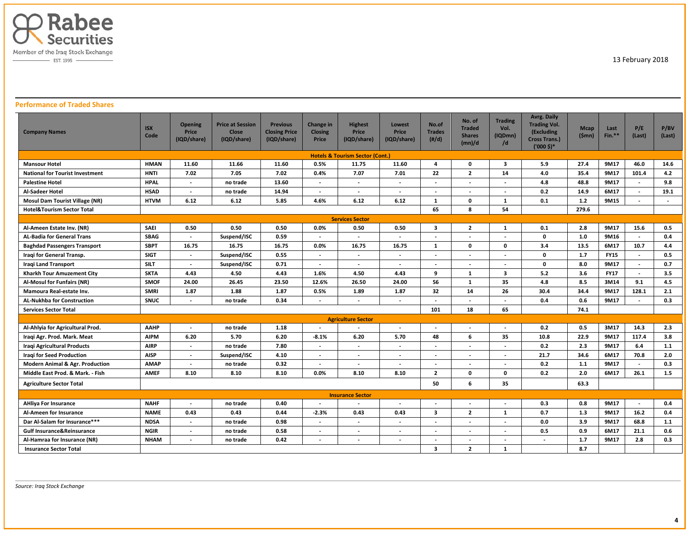

# **Performance of Traded Shares**

| <b>Company Names</b>                       | <b>ISX</b><br>Code | <b>Opening</b><br>Price<br>(IQD/share) | <b>Price at Session</b><br><b>Close</b><br>(IQD/share) | <b>Previous</b><br><b>Closing Price</b><br>(IQD/share) | Change in<br><b>Closing</b><br>Price | <b>Highest</b><br><b>Price</b><br>(IQD/share) | Lowest<br>Price<br>(IQD/share) | No.of<br><b>Trades</b><br>(H/d) | No. of<br><b>Traded</b><br><b>Shares</b><br>(mn)/d | <b>Trading</b><br>Vol.<br>(IQDmn)<br>/d | <b>Avrg. Daily</b><br><b>Trading Vol.</b><br>(Excluding<br><b>Cross Trans.)</b><br>$('000 \, \text{S})^*$ | <b>Mcap</b><br>(\$mn) | Last<br>Fin.** | P/E<br>(Last)            | P/BV<br>(Last) |
|--------------------------------------------|--------------------|----------------------------------------|--------------------------------------------------------|--------------------------------------------------------|--------------------------------------|-----------------------------------------------|--------------------------------|---------------------------------|----------------------------------------------------|-----------------------------------------|-----------------------------------------------------------------------------------------------------------|-----------------------|----------------|--------------------------|----------------|
| <b>Hotels &amp; Tourism Sector (Cont.)</b> |                    |                                        |                                                        |                                                        |                                      |                                               |                                |                                 |                                                    |                                         |                                                                                                           |                       |                |                          |                |
| <b>Mansour Hotel</b>                       | <b>HMAN</b>        | 11.60                                  | 11.66                                                  | 11.60                                                  | 0.5%                                 | 11.75                                         | 11.60                          | 4                               | 0                                                  | 3                                       | 5.9                                                                                                       | 27.4                  | 9M17           | 46.0                     | 14.6           |
| <b>National for Tourist Investment</b>     | <b>HNTI</b>        | 7.02                                   | 7.05                                                   | 7.02                                                   | 0.4%                                 | 7.07                                          | 7.01                           | 22                              | $\overline{2}$                                     | 14                                      | 4.0                                                                                                       | 35.4                  | 9M17           | 101.4                    | 4.2            |
| <b>Palestine Hotel</b>                     | <b>HPAL</b>        | $\overline{\phantom{a}}$               | no trade                                               | 13.60                                                  | $\overline{\phantom{a}}$             | $\blacksquare$                                |                                | $\overline{\phantom{a}}$        |                                                    | $\blacksquare$                          | 4.8                                                                                                       | 48.8                  | 9M17           | $\overline{\phantom{a}}$ | 9.8            |
| Al-Sadeer Hotel                            | <b>HSAD</b>        | $\overline{\phantom{a}}$               | no trade                                               | 14.94                                                  |                                      | $\overline{\phantom{a}}$                      |                                |                                 |                                                    |                                         | 0.2                                                                                                       | 14.9                  | 6M17           | $\overline{\phantom{a}}$ | 19.1           |
| <b>Mosul Dam Tourist Village (NR)</b>      | <b>HTVM</b>        | 6.12                                   | 6.12                                                   | 5.85                                                   | 4.6%                                 | 6.12                                          | 6.12                           | $\mathbf{1}$                    | 0                                                  | 1                                       | 0.1                                                                                                       | $1.2$                 | 9M15           | $\overline{\phantom{a}}$ | $\blacksquare$ |
| <b>Hotel&amp;Tourism Sector Total</b>      |                    |                                        |                                                        |                                                        |                                      |                                               |                                | 65                              | 8                                                  | 54                                      |                                                                                                           | 279.6                 |                |                          |                |
| <b>Services Sector</b>                     |                    |                                        |                                                        |                                                        |                                      |                                               |                                |                                 |                                                    |                                         |                                                                                                           |                       |                |                          |                |
| Al-Ameen Estate Inv. (NR)                  | <b>SAEI</b>        | 0.50                                   | 0.50                                                   | 0.50                                                   | 0.0%                                 | 0.50                                          | 0.50                           | $\overline{\mathbf{3}}$         | $\overline{2}$                                     | 1                                       | 0.1                                                                                                       | 2.8                   | 9M17           | 15.6                     | 0.5            |
| <b>AL-Badia for General Trans</b>          | <b>SBAG</b>        | $\overline{\phantom{a}}$               | Suspend/ISC                                            | 0.59                                                   | $\overline{\phantom{a}}$             | $\blacksquare$                                | $\overline{\phantom{a}}$       | $\blacksquare$                  |                                                    |                                         | $\mathbf{0}$                                                                                              | 1.0                   | 9M16           | $\overline{\phantom{a}}$ | 0.4            |
| <b>Baghdad Passengers Transport</b>        | <b>SBPT</b>        | 16.75                                  | 16.75                                                  | 16.75                                                  | 0.0%                                 | 16.75                                         | 16.75                          | $\mathbf{1}$                    | 0                                                  | $\mathbf 0$                             | 3.4                                                                                                       | 13.5                  | 6M17           | 10.7                     | 4.4            |
| Iragi for General Transp.                  | <b>SIGT</b>        | $\overline{a}$                         | Suspend/ISC                                            | 0.55                                                   | $\overline{\phantom{a}}$             | $\overline{\phantom{a}}$                      | $\overline{\phantom{a}}$       | $\overline{\phantom{a}}$        |                                                    |                                         | $\mathbf{0}$                                                                                              | 1.7                   | <b>FY15</b>    |                          | 0.5            |
| Iraqi Land Transport                       | <b>SILT</b>        | $\overline{\phantom{a}}$               | Suspend/ISC                                            | 0.71                                                   | $\overline{\phantom{a}}$             | $\overline{\phantom{a}}$                      | $\overline{\phantom{a}}$       | $\overline{a}$                  | $\overline{\phantom{a}}$                           | $\overline{a}$                          | 0                                                                                                         | 8.0                   | 9M17           | $\overline{a}$           | 0.7            |
| Kharkh Tour Amuzement City                 | <b>SKTA</b>        | 4.43                                   | 4.50                                                   | 4.43                                                   | 1.6%                                 | 4.50                                          | 4.43                           | 9                               | 1                                                  | $\overline{\mathbf{3}}$                 | 5.2                                                                                                       | 3.6                   | <b>FY17</b>    |                          | 3.5            |
| Al-Mosul for Funfairs (NR)                 | <b>SMOF</b>        | 24.00                                  | 26.45                                                  | 23.50                                                  | 12.6%                                | 26.50                                         | 24.00                          | 56                              | $\mathbf{1}$                                       | 35                                      | 4.8                                                                                                       | 8.5                   | 3M14           | 9.1                      | 4.5            |
| Mamoura Real-estate Inv.                   | <b>SMRI</b>        | 1.87                                   | 1.88                                                   | 1.87                                                   | 0.5%                                 | 1.89                                          | 1.87                           | 32                              | 14                                                 | 26                                      | 30.4                                                                                                      | 34.4                  | 9M17           | 128.1                    | 2.1            |
| AL-Nukhba for Construction                 | <b>SNUC</b>        | $\overline{a}$                         | no trade                                               | 0.34                                                   |                                      | $\overline{a}$                                | $\overline{\phantom{a}}$       |                                 |                                                    | $\overline{a}$                          | 0.4                                                                                                       | 0.6                   | 9M17           | $\overline{a}$           | 0.3            |
| <b>Services Sector Total</b>               |                    |                                        |                                                        |                                                        |                                      |                                               |                                | 101                             | 18                                                 | 65                                      |                                                                                                           | 74.1                  |                |                          |                |
|                                            |                    |                                        |                                                        |                                                        |                                      | <b>Agriculture Sector</b>                     |                                |                                 |                                                    |                                         |                                                                                                           |                       |                |                          |                |
| Al-Ahlyia for Agricultural Prod.           | AAHP               | $\overline{\phantom{a}}$               | no trade                                               | 1.18                                                   |                                      | $\overline{\phantom{a}}$                      | $\overline{a}$                 | $\overline{\phantom{a}}$        |                                                    | $\overline{\phantom{a}}$                | 0.2                                                                                                       | 0.5                   | 3M17           | 14.3                     | 2.3            |
| Iraqi Agr. Prod. Mark. Meat                | <b>AIPM</b>        | 6.20                                   | 5.70                                                   | 6.20                                                   | $-8.1%$                              | 6.20                                          | 5.70                           | 48                              | 6                                                  | 35                                      | 10.8                                                                                                      | 22.9                  | 9M17           | 117.4                    | 3.8            |
| Iraqi Agricultural Products                | <b>AIRP</b>        | $\overline{\phantom{a}}$               | no trade                                               | 7.80                                                   | $\overline{\phantom{a}}$             | $\overline{\phantom{a}}$                      | $\overline{\phantom{a}}$       | $\overline{\phantom{a}}$        | $\overline{\phantom{a}}$                           | $\overline{\phantom{a}}$                | 0.2                                                                                                       | 2.3                   | 9M17           | 6.4                      | 1.1            |
| <b>Iragi for Seed Production</b>           | <b>AISP</b>        | $\overline{\phantom{a}}$               | Suspend/ISC                                            | 4.10                                                   | $\overline{\phantom{a}}$             | $\overline{\phantom{a}}$                      | $\overline{\phantom{a}}$       | $\overline{\phantom{a}}$        | $\overline{\phantom{a}}$                           | $\blacksquare$                          | 21.7                                                                                                      | 34.6                  | 6M17           | 70.8                     | 2.0            |
| <b>Modern Animal &amp; Agr. Production</b> | <b>AMAP</b>        | $\overline{\phantom{a}}$               | no trade                                               | 0.32                                                   | $\overline{\phantom{a}}$             | $\overline{\phantom{a}}$                      | $\overline{\phantom{a}}$       | $\overline{\phantom{a}}$        | $\blacksquare$                                     | $\blacksquare$                          | 0.2                                                                                                       | 1.1                   | 9M17           | $\overline{\phantom{a}}$ | 0.3            |
| Middle East Prod. & Mark. - Fish           | <b>AMEF</b>        | 8.10                                   | 8.10                                                   | 8.10                                                   | 0.0%                                 | 8.10                                          | 8.10                           | $\overline{2}$                  | $\mathbf{0}$                                       | $\mathbf 0$                             | 0.2                                                                                                       | 2.0                   | 6M17           | 26.1                     | 1.5            |
| <b>Agriculture Sector Total</b>            |                    |                                        |                                                        |                                                        |                                      |                                               |                                | 50                              | 6                                                  | 35                                      |                                                                                                           | 63.3                  |                |                          |                |
|                                            |                    |                                        |                                                        |                                                        |                                      | <b>Insurance Sector</b>                       |                                |                                 |                                                    |                                         |                                                                                                           |                       |                |                          |                |
| <b>AHliya For Insurance</b>                | <b>NAHF</b>        | $\overline{\phantom{a}}$               | no trade                                               | 0.40                                                   |                                      | $\overline{\phantom{a}}$                      |                                |                                 |                                                    | $\overline{\phantom{a}}$                | 0.3                                                                                                       | 0.8                   | 9M17           | $\overline{\phantom{a}}$ | 0.4            |
| Al-Ameen for Insurance                     | <b>NAME</b>        | 0.43                                   | 0.43                                                   | 0.44                                                   | $-2.3%$                              | 0.43                                          | 0.43                           | $\overline{\mathbf{3}}$         | $\overline{2}$                                     | $\mathbf{1}$                            | 0.7                                                                                                       | 1.3                   | 9M17           | 16.2                     | 0.4            |
| Dar Al-Salam for Insurance***              | <b>NDSA</b>        | $\overline{\phantom{a}}$               | no trade                                               | 0.98                                                   | $\overline{\phantom{0}}$             | $\blacksquare$                                | $\overline{a}$                 | $\overline{a}$                  | $\overline{\phantom{a}}$                           | $\overline{a}$                          | 0.0                                                                                                       | 3.9                   | 9M17           | 68.8                     | 1.1            |
| <b>Gulf Insurance&amp;Reinsurance</b>      | <b>NGIR</b>        | $\overline{\phantom{a}}$               | no trade                                               | 0.58                                                   | $\overline{\phantom{a}}$             | $\blacksquare$                                | $\overline{\phantom{a}}$       | $\overline{\phantom{a}}$        | $\blacksquare$                                     | $\blacksquare$                          | 0.5                                                                                                       | 0.9                   | 6M17           | 21.1                     | 0.6            |
| Al-Hamraa for Insurance (NR)               | <b>NHAM</b>        |                                        | no trade                                               | 0.42                                                   | $\overline{\phantom{a}}$             | $\overline{\phantom{a}}$                      | $\overline{\phantom{a}}$       |                                 |                                                    | $\overline{\phantom{a}}$                |                                                                                                           | 1.7                   | 9M17           | 2.8                      | 0.3            |
| <b>Insurance Sector Total</b>              |                    |                                        |                                                        |                                                        |                                      |                                               |                                | 3                               | $\overline{2}$                                     | $\mathbf{1}$                            |                                                                                                           | 8.7                   |                |                          |                |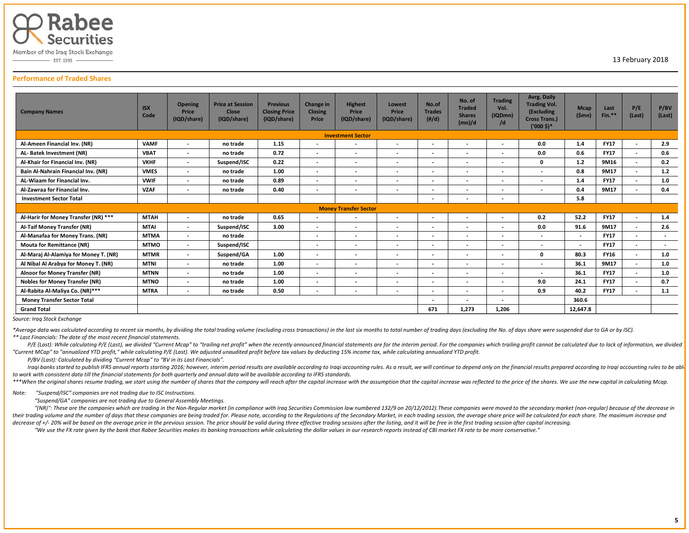

EST. 1995 -

# 13 February 2018

### **Performance of Traded Shares**

| <b>Company Names</b>                  | <b>ISX</b><br>Code | <b>Opening</b><br>Price<br>(IQD/share) | <b>Price at Session</b><br>Close<br>(IQD/share) | <b>Previous</b><br><b>Closing Price</b><br>(IQD/share) | <b>Change in</b><br><b>Closing</b><br>Price | <b>Highest</b><br>Price<br>(IQD/share) | Lowest<br>Price<br>(IQD/share) | No.of<br><b>Trades</b><br>$(\#/d)$ | No. of<br><b>Traded</b><br><b>Shares</b><br>(mn)/d | <b>Trading</b><br>Vol.<br>(IQDmn)<br>/d | Avrg. Daily<br><b>Trading Vol.</b><br>(Excluding<br><b>Cross Trans.)</b><br>$('000 $)$ * | <b>Mcap</b><br>(Smn)     | Last<br>$Fin.**$ | P/E<br>(Last)            | P/BV<br>(Last) |
|---------------------------------------|--------------------|----------------------------------------|-------------------------------------------------|--------------------------------------------------------|---------------------------------------------|----------------------------------------|--------------------------------|------------------------------------|----------------------------------------------------|-----------------------------------------|------------------------------------------------------------------------------------------|--------------------------|------------------|--------------------------|----------------|
|                                       |                    |                                        |                                                 |                                                        |                                             |                                        |                                |                                    |                                                    |                                         |                                                                                          |                          |                  |                          |                |
| Al-Ameen Financial Inv. (NR)          | <b>VAMF</b>        |                                        | no trade                                        | 1.15                                                   | $\overline{\phantom{a}}$                    | $\overline{\phantom{a}}$               | $\overline{\phantom{a}}$       |                                    | $\overline{\phantom{a}}$                           | $\overline{\phantom{0}}$                | 0.0                                                                                      | 1.4                      | <b>FY17</b>      |                          | 2.9            |
| AL- Batek Investment (NR)             | <b>VBAT</b>        | $\overline{a}$                         | no trade                                        | 0.72                                                   | $\overline{\phantom{a}}$                    | $\overline{\phantom{a}}$               | $\overline{\phantom{0}}$       | $\overline{\phantom{0}}$           | $\overline{\phantom{a}}$                           | $\overline{\phantom{0}}$                | 0.0                                                                                      | 0.6                      | <b>FY17</b>      | $\overline{a}$           | 0.6            |
| Al-Khair for Financial Inv. (NR)      | <b>VKHF</b>        |                                        | Suspend/ISC                                     | 0.22                                                   |                                             | $\overline{\phantom{a}}$               |                                |                                    | $\overline{\phantom{a}}$                           | $\overline{\phantom{a}}$                | $\mathbf{0}$                                                                             | 1.2                      | 9M16             | $\overline{\phantom{a}}$ | 0.2            |
| Bain Al-Nahrain Financial Inv. (NR)   | <b>VMES</b>        | $\overline{a}$                         | no trade                                        | 1.00                                                   | $\overline{\phantom{0}}$                    | $\overline{\phantom{a}}$               | $\overline{\phantom{0}}$       | $\overline{\phantom{a}}$           | $\overline{\phantom{a}}$                           | $\overline{\phantom{a}}$                |                                                                                          | 0.8                      | 9M17             | $\overline{a}$           | $1.2$          |
| AL-Wiaam for Financial Inv.           | <b>VWIF</b>        | $\overline{\phantom{a}}$               | no trade                                        | 0.89                                                   |                                             | $\overline{\phantom{a}}$               | $\overline{\phantom{0}}$       | $\overline{\phantom{0}}$           | $\overline{\phantom{a}}$                           | ٠                                       |                                                                                          | 1.4                      | <b>FY17</b>      | $\overline{\phantom{a}}$ | 1.0            |
| Al-Zawraa for Financial Inv.          | <b>VZAF</b>        |                                        | no trade                                        | 0.40                                                   |                                             | $\overline{\phantom{a}}$               |                                | $\overline{\phantom{a}}$           | $\overline{\phantom{0}}$                           | $\overline{\phantom{a}}$                |                                                                                          | 0.4                      | 9M17             | $\overline{\phantom{a}}$ | 0.4            |
| <b>Investment Sector Total</b>        |                    |                                        |                                                 |                                                        |                                             |                                        |                                | $\overline{\phantom{a}}$           |                                                    | $\overline{\phantom{a}}$                |                                                                                          | 5.8                      |                  |                          |                |
|                                       |                    |                                        |                                                 |                                                        |                                             | <b>Money Transfer Sector</b>           |                                |                                    |                                                    |                                         |                                                                                          |                          |                  |                          |                |
| Al-Harir for Money Transfer (NR) ***  | <b>MTAH</b>        | $\sim$                                 | no trade                                        | 0.65                                                   | $\overline{\phantom{0}}$                    | $\overline{\phantom{a}}$               | $\overline{\phantom{a}}$       | $\sim$                             | $\overline{\phantom{a}}$                           | $\overline{\phantom{a}}$                | 0.2                                                                                      | 52.2                     | <b>FY17</b>      | $\overline{\phantom{a}}$ | 1.4            |
| Al-Taif Money Transfer (NR)           | <b>MTAI</b>        | $\overline{\phantom{a}}$               | Suspend/ISC                                     | 3.00                                                   | $\overline{\phantom{a}}$                    | $\overline{\phantom{a}}$               | $\overline{\phantom{a}}$       | $\overline{\phantom{a}}$           | $\overline{\phantom{a}}$                           | $\overline{\phantom{0}}$                | 0.0                                                                                      | 91.6                     | 9M17             | $\overline{\phantom{a}}$ | 2.6            |
| Al-Manafaa for Money Trans. (NR)      | <b>MTMA</b>        |                                        | no trade                                        |                                                        |                                             | $\overline{\phantom{a}}$               | $\overline{\phantom{0}}$       | $\overline{\phantom{0}}$           | $\overline{\phantom{a}}$                           | $\overline{\phantom{0}}$                | $\overline{a}$                                                                           | $\overline{\phantom{a}}$ | <b>FY17</b>      | $\overline{\phantom{a}}$ | $\overline{a}$ |
| <b>Mouta for Remittance (NR)</b>      | <b>MTMO</b>        | $\sim$                                 | Suspend/ISC                                     |                                                        | $\overline{\phantom{a}}$                    | $\overline{\phantom{a}}$               | $\overline{\phantom{0}}$       | $\overline{\phantom{a}}$           | $\overline{\phantom{a}}$                           | $\overline{\phantom{0}}$                | $\overline{a}$                                                                           | $\overline{\phantom{a}}$ | <b>FY17</b>      | $\overline{\phantom{a}}$ | $\sim$         |
| Al-Maraj Al-Alamiya for Money T. (NR) | <b>MTMR</b>        | $\overline{\phantom{a}}$               | Suspend/GA                                      | 1.00                                                   | $\sim$                                      | $\overline{\phantom{a}}$               | $\overline{\phantom{a}}$       | $\overline{\phantom{a}}$           | $\overline{\phantom{a}}$                           | $\overline{\phantom{a}}$                | $\mathbf{0}$                                                                             | 80.3                     | <b>FY16</b>      | $\sim$                   | 1.0            |
| Al Nibal Al Arabya for Money T. (NR)  | <b>MTNI</b>        | $\overline{\phantom{a}}$               | no trade                                        | 1.00                                                   | $\overline{\phantom{a}}$                    | $\blacksquare$                         | $\overline{\phantom{0}}$       | $\overline{\phantom{0}}$           | $\overline{\phantom{0}}$                           | $\overline{\phantom{0}}$                | $\overline{a}$                                                                           | 36.1                     | 9M17             | $\overline{\phantom{a}}$ | 1.0            |
| <b>Alnoor for Money Transfer (NR)</b> | <b>MTNN</b>        | $\overline{a}$                         | no trade                                        | 1.00                                                   | $\overline{\phantom{a}}$                    | $\overline{\phantom{a}}$               |                                | $\overline{\phantom{0}}$           | $\overline{\phantom{a}}$                           | $\overline{\phantom{a}}$                | $\overline{a}$                                                                           | 36.1                     | <b>FY17</b>      | $\overline{\phantom{a}}$ | 1.0            |
| <b>Nobles for Money Transfer (NR)</b> | <b>MTNO</b>        | $\overline{\phantom{a}}$               | no trade                                        | 1.00                                                   |                                             | $\overline{\phantom{a}}$               | $\overline{\phantom{0}}$       | $\overline{\phantom{a}}$           | $\overline{\phantom{a}}$                           | $\overline{\phantom{0}}$                | 9.0                                                                                      | 24.1                     | <b>FY17</b>      | $\overline{\phantom{a}}$ | 0.7            |
| Al-Rabita Al-Maliya Co. (NR)***       | <b>MTRA</b>        |                                        | no trade                                        | 0.50                                                   | $\overline{\phantom{0}}$                    | $\overline{\phantom{a}}$               | $\overline{\phantom{a}}$       | $\overline{\phantom{a}}$           | $\overline{\phantom{a}}$                           | $\overline{\phantom{a}}$                | 0.9                                                                                      | 40.2                     | <b>FY17</b>      | $\overline{\phantom{a}}$ | 1.1            |
| <b>Money Transfer Sector Total</b>    |                    |                                        |                                                 |                                                        |                                             |                                        |                                |                                    | $\overline{\phantom{a}}$                           | $\overline{\phantom{a}}$                |                                                                                          | 360.6                    |                  |                          |                |
| <b>Grand Total</b>                    |                    |                                        |                                                 |                                                        |                                             |                                        |                                | 671                                | 1,273                                              | 1,206                                   |                                                                                          | 12,647.8                 |                  |                          |                |

### *Source: Iraq Stock Exchange*

\*Average data was calculated according to recent six months, by dividing the total trading volume (excluding cross transactions) in the last six months to total number of trading days (excluding the No. of days share were *\*\* Last Financials: The date of the most recent financial statements.* 

P/E (Last): While calculating P/E (Last), we divided "Current Mcap" to "trailing net profit" when the recently announced financial statements are for the interim period. For the companies which trailing profit cannot be ca *"Current MCap" to "annualized YTD profit," while calculating P/E (Last). We adjusted unaudited profit before tax values by deducting 15% income tax, while calculating annualized YTD profit.*

 *P/BV (Last): Calculated by dividing "Current Mcap" to "BV in its Last Financials".*

Iraqi banks started to publish IFRS annual reports starting 2016; however, interim period results are available according to Iraqi accounting rules. As a result, we will continue to depend only on the financial results pre *to work with consistent data till the financial statements for both quarterly and annual data will be available according to IFRS standards.*  \*\*\*When the original shares resume trading, we start using the number of shares that the company will reach after the capital increase with the assumption that the capital increase was reflected to the price of the shares.

*Note: "Suspend/ISC" companies are not trading due to ISC Instructions.*

 *"Suspend/GA" companies are not trading due to General Assembly Meetings.*

"(NR)": These are the companies which are trading in the Non-Regular market (in compliance with Iraq Securities Commission law numbered 132/9 on 20/12/2012). These companies were moved to the secondary market (non-reqular) their trading volume and the number of days that these companies are being traded for. Please note, according to the Regulations of the Secondary Market, in each trading session, the average share price will be calculated decrease of +/- 20% will be based on the average price in the previous session. The price should be valid during three effective trading sessions after the listing, and it will be free in the first trading session after ca

"We use the FX rate given by the bank that Rabee Securities makes its banking transactions while calculating the dollar values in our research reports instead of CBI market FX rate to be more conservative."